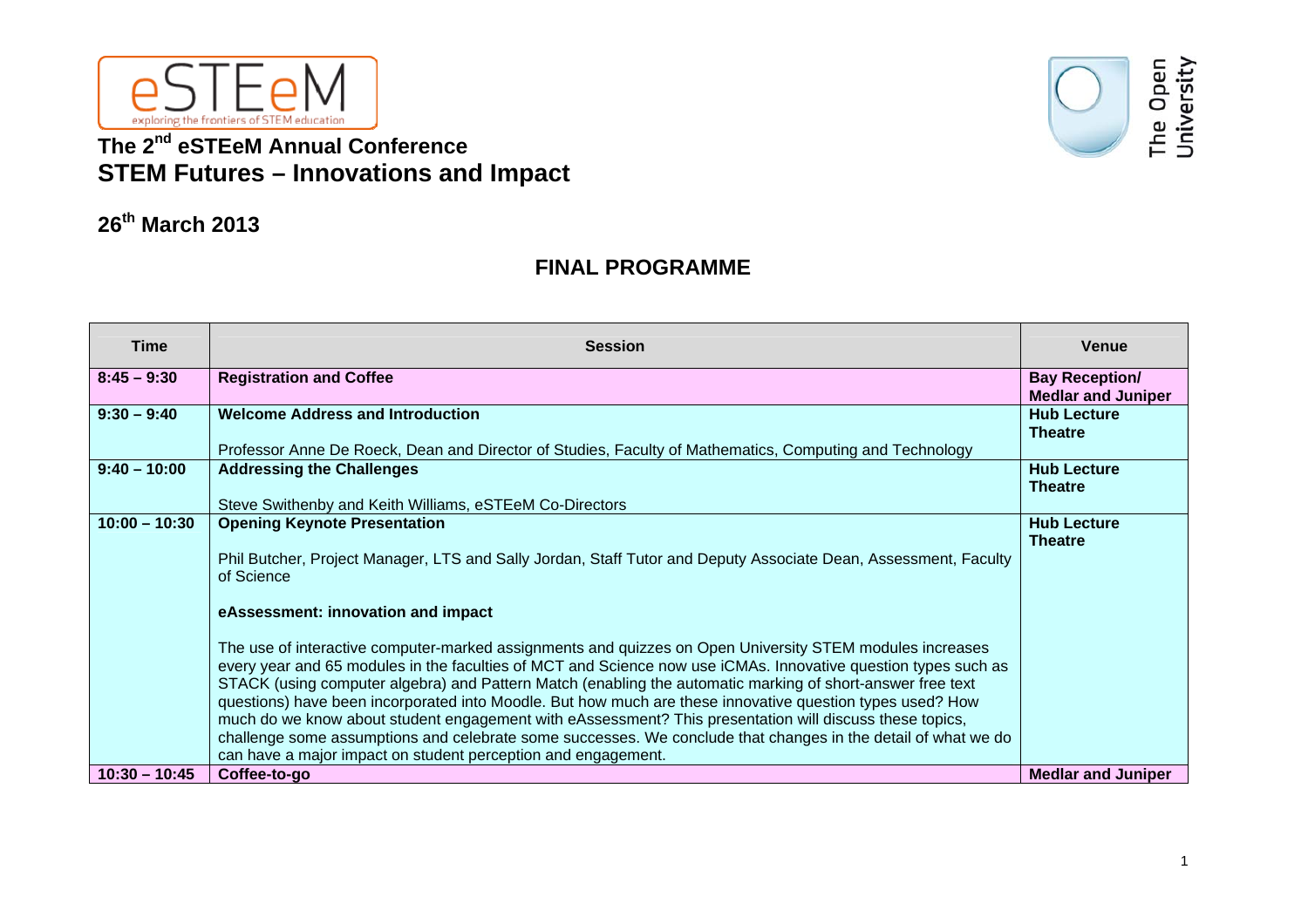

## **The 2nd eSTEeM Annual Conference STEM Futures – Innovations and Impact**



## **26th March 2013**

## **FINAL PROGRAMME**

| <b>Time</b>     | <b>Session</b>                                                                                                                                                                                                                                                                                                                                                                                                                                                                                                                                                                                                                                                                                                                                                                                                                                                                                                                                                   | <b>Venue</b>                                       |
|-----------------|------------------------------------------------------------------------------------------------------------------------------------------------------------------------------------------------------------------------------------------------------------------------------------------------------------------------------------------------------------------------------------------------------------------------------------------------------------------------------------------------------------------------------------------------------------------------------------------------------------------------------------------------------------------------------------------------------------------------------------------------------------------------------------------------------------------------------------------------------------------------------------------------------------------------------------------------------------------|----------------------------------------------------|
| $8:45 - 9:30$   | <b>Registration and Coffee</b>                                                                                                                                                                                                                                                                                                                                                                                                                                                                                                                                                                                                                                                                                                                                                                                                                                                                                                                                   | <b>Bay Reception/</b><br><b>Medlar and Juniper</b> |
| $9:30 - 9:40$   | <b>Welcome Address and Introduction</b><br>Professor Anne De Roeck, Dean and Director of Studies, Faculty of Mathematics, Computing and Technology                                                                                                                                                                                                                                                                                                                                                                                                                                                                                                                                                                                                                                                                                                                                                                                                               | <b>Hub Lecture</b><br><b>Theatre</b>               |
| $9:40 - 10:00$  | <b>Addressing the Challenges</b><br>Steve Swithenby and Keith Williams, eSTEeM Co-Directors                                                                                                                                                                                                                                                                                                                                                                                                                                                                                                                                                                                                                                                                                                                                                                                                                                                                      | <b>Hub Lecture</b><br><b>Theatre</b>               |
| $10:00 - 10:30$ | <b>Opening Keynote Presentation</b><br>Phil Butcher, Project Manager, LTS and Sally Jordan, Staff Tutor and Deputy Associate Dean, Assessment, Faculty<br>of Science<br>eAssessment: innovation and impact<br>The use of interactive computer-marked assignments and quizzes on Open University STEM modules increases<br>every year and 65 modules in the faculties of MCT and Science now use iCMAs. Innovative question types such as<br>STACK (using computer algebra) and Pattern Match (enabling the automatic marking of short-answer free text<br>questions) have been incorporated into Moodle. But how much are these innovative question types used? How<br>much do we know about student engagement with eAssessment? This presentation will discuss these topics,<br>challenge some assumptions and celebrate some successes. We conclude that changes in the detail of what we do<br>can have a major impact on student perception and engagement. | <b>Hub Lecture</b><br><b>Theatre</b>               |
| $10:30 - 10:45$ | Coffee-to-go                                                                                                                                                                                                                                                                                                                                                                                                                                                                                                                                                                                                                                                                                                                                                                                                                                                                                                                                                     | <b>Medlar and Juniper</b>                          |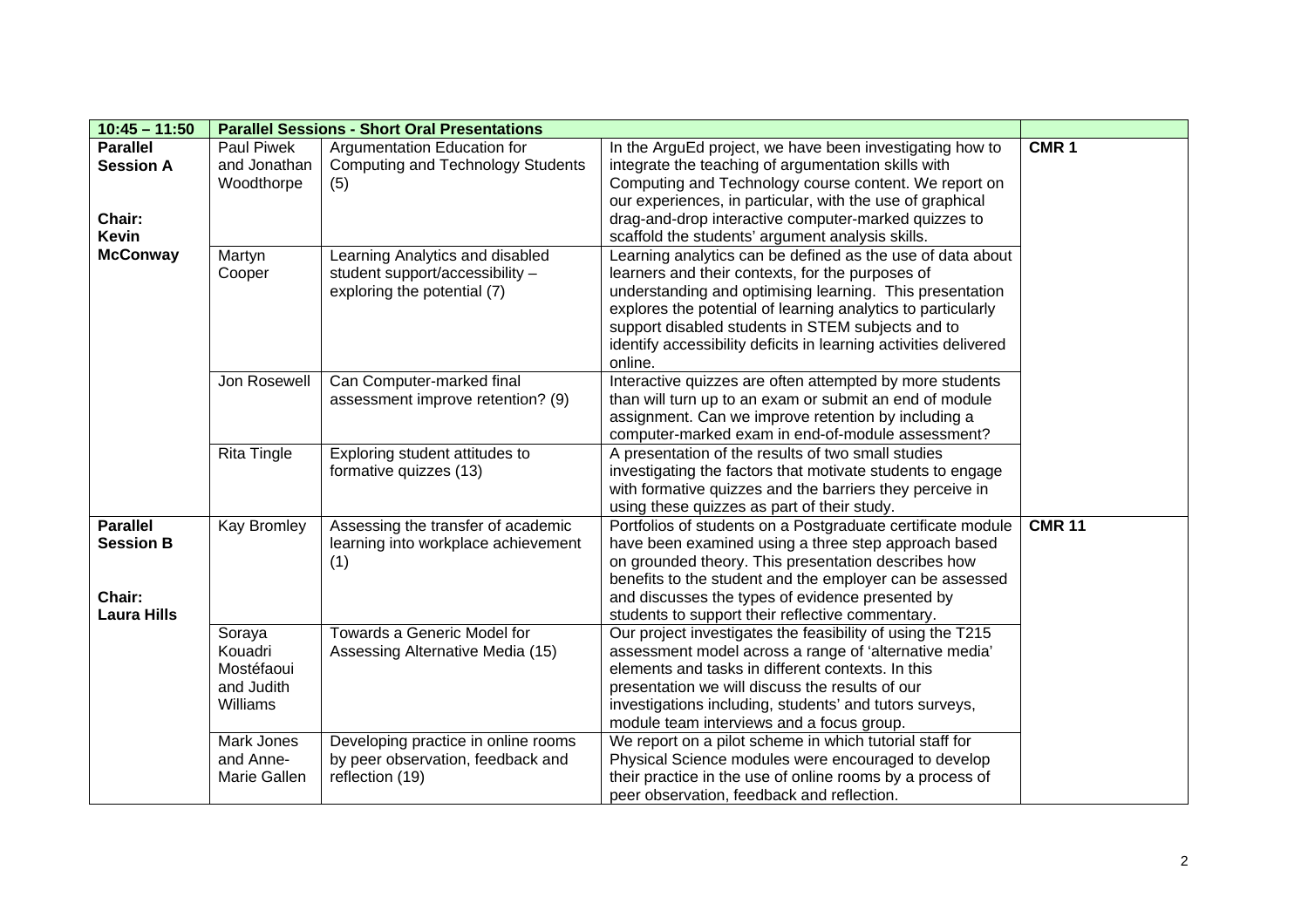| $10:45 - 11:50$                                                                  | <b>Parallel Sessions - Short Oral Presentations</b>          |                                                                                                                                                                                     |                                                                                                                                                                                                                                                                                                                                                                                                                                                                                                                                                                                                                                                                                                                                     |                  |
|----------------------------------------------------------------------------------|--------------------------------------------------------------|-------------------------------------------------------------------------------------------------------------------------------------------------------------------------------------|-------------------------------------------------------------------------------------------------------------------------------------------------------------------------------------------------------------------------------------------------------------------------------------------------------------------------------------------------------------------------------------------------------------------------------------------------------------------------------------------------------------------------------------------------------------------------------------------------------------------------------------------------------------------------------------------------------------------------------------|------------------|
| <b>Parallel</b><br><b>Session A</b><br>Chair:<br><b>Kevin</b><br><b>McConway</b> | Paul Piwek<br>and Jonathan<br>Woodthorpe<br>Martyn<br>Cooper | Argumentation Education for<br><b>Computing and Technology Students</b><br>(5)<br>Learning Analytics and disabled<br>student support/accessibility -<br>exploring the potential (7) | In the ArguEd project, we have been investigating how to<br>integrate the teaching of argumentation skills with<br>Computing and Technology course content. We report on<br>our experiences, in particular, with the use of graphical<br>drag-and-drop interactive computer-marked quizzes to<br>scaffold the students' argument analysis skills.<br>Learning analytics can be defined as the use of data about<br>learners and their contexts, for the purposes of<br>understanding and optimising learning. This presentation<br>explores the potential of learning analytics to particularly<br>support disabled students in STEM subjects and to<br>identify accessibility deficits in learning activities delivered<br>online. | CMR <sub>1</sub> |
|                                                                                  | Jon Rosewell<br><b>Rita Tingle</b>                           | Can Computer-marked final<br>assessment improve retention? (9)<br>Exploring student attitudes to                                                                                    | Interactive quizzes are often attempted by more students<br>than will turn up to an exam or submit an end of module<br>assignment. Can we improve retention by including a<br>computer-marked exam in end-of-module assessment?<br>A presentation of the results of two small studies                                                                                                                                                                                                                                                                                                                                                                                                                                               |                  |
|                                                                                  |                                                              | formative quizzes (13)                                                                                                                                                              | investigating the factors that motivate students to engage<br>with formative quizzes and the barriers they perceive in<br>using these quizzes as part of their study.                                                                                                                                                                                                                                                                                                                                                                                                                                                                                                                                                               |                  |
| <b>Parallel</b><br><b>Session B</b><br>Chair:<br><b>Laura Hills</b>              | <b>Kay Bromley</b>                                           | Assessing the transfer of academic<br>learning into workplace achievement<br>(1)                                                                                                    | Portfolios of students on a Postgraduate certificate module<br>have been examined using a three step approach based<br>on grounded theory. This presentation describes how<br>benefits to the student and the employer can be assessed<br>and discusses the types of evidence presented by<br>students to support their reflective commentary.                                                                                                                                                                                                                                                                                                                                                                                      | <b>CMR 11</b>    |
|                                                                                  | Soraya<br>Kouadri<br>Mostéfaoui<br>and Judith<br>Williams    | Towards a Generic Model for<br>Assessing Alternative Media (15)                                                                                                                     | Our project investigates the feasibility of using the T215<br>assessment model across a range of 'alternative media'<br>elements and tasks in different contexts. In this<br>presentation we will discuss the results of our<br>investigations including, students' and tutors surveys,<br>module team interviews and a focus group.                                                                                                                                                                                                                                                                                                                                                                                                |                  |
|                                                                                  | <b>Mark Jones</b><br>and Anne-<br>Marie Gallen               | Developing practice in online rooms<br>by peer observation, feedback and<br>reflection (19)                                                                                         | We report on a pilot scheme in which tutorial staff for<br>Physical Science modules were encouraged to develop<br>their practice in the use of online rooms by a process of<br>peer observation, feedback and reflection.                                                                                                                                                                                                                                                                                                                                                                                                                                                                                                           |                  |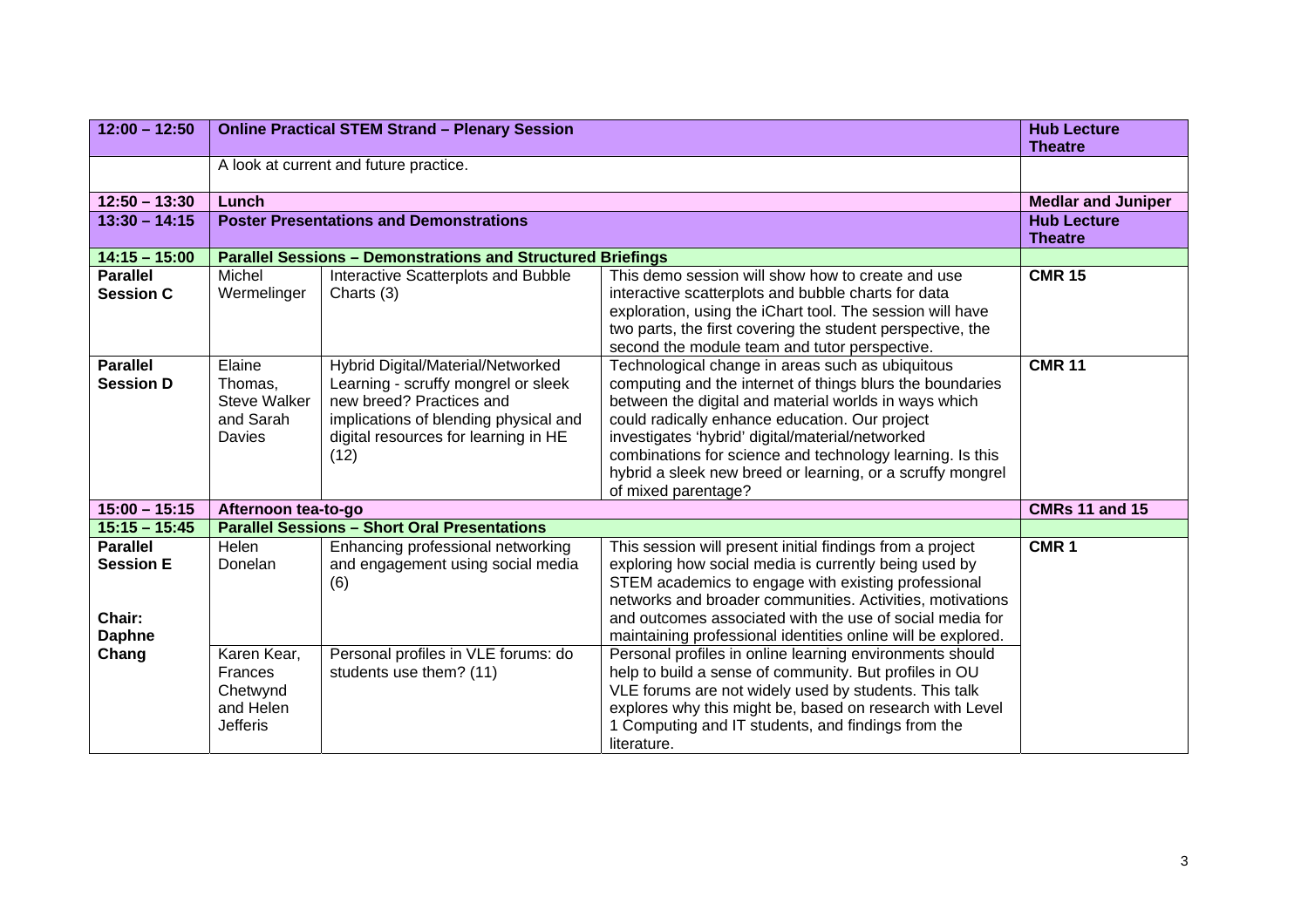| $12:00 - 12:50$                                                | <b>Online Practical STEM Strand - Plenary Session</b>                     |                                                                                                                                                                                               |                                                                                                                                                                                                                                                                                                                                                                                                                                | <b>Hub Lecture</b><br><b>Theatre</b> |  |  |
|----------------------------------------------------------------|---------------------------------------------------------------------------|-----------------------------------------------------------------------------------------------------------------------------------------------------------------------------------------------|--------------------------------------------------------------------------------------------------------------------------------------------------------------------------------------------------------------------------------------------------------------------------------------------------------------------------------------------------------------------------------------------------------------------------------|--------------------------------------|--|--|
|                                                                | A look at current and future practice.                                    |                                                                                                                                                                                               |                                                                                                                                                                                                                                                                                                                                                                                                                                |                                      |  |  |
| $12:50 - 13:30$                                                | Lunch                                                                     |                                                                                                                                                                                               |                                                                                                                                                                                                                                                                                                                                                                                                                                |                                      |  |  |
| $13:30 - 14:15$                                                | <b>Poster Presentations and Demonstrations</b>                            | <b>Hub Lecture</b><br><b>Theatre</b>                                                                                                                                                          |                                                                                                                                                                                                                                                                                                                                                                                                                                |                                      |  |  |
| $14:15 - 15:00$                                                |                                                                           | <b>Parallel Sessions - Demonstrations and Structured Briefings</b>                                                                                                                            |                                                                                                                                                                                                                                                                                                                                                                                                                                |                                      |  |  |
| <b>Parallel</b><br><b>Session C</b>                            | Michel<br>Wermelinger                                                     | Interactive Scatterplots and Bubble<br>Charts (3)                                                                                                                                             | This demo session will show how to create and use<br>interactive scatterplots and bubble charts for data<br>exploration, using the iChart tool. The session will have<br>two parts, the first covering the student perspective, the<br>second the module team and tutor perspective.                                                                                                                                           | <b>CMR 15</b>                        |  |  |
| <b>Parallel</b><br><b>Session D</b>                            | Elaine<br>Thomas,<br><b>Steve Walker</b><br>and Sarah<br>Davies           | Hybrid Digital/Material/Networked<br>Learning - scruffy mongrel or sleek<br>new breed? Practices and<br>implications of blending physical and<br>digital resources for learning in HE<br>(12) | Technological change in areas such as ubiquitous<br>computing and the internet of things blurs the boundaries<br>between the digital and material worlds in ways which<br>could radically enhance education. Our project<br>investigates 'hybrid' digital/material/networked<br>combinations for science and technology learning. Is this<br>hybrid a sleek new breed or learning, or a scruffy mongrel<br>of mixed parentage? | <b>CMR 11</b>                        |  |  |
| $15:00 - 15:15$                                                | Afternoon tea-to-go                                                       |                                                                                                                                                                                               |                                                                                                                                                                                                                                                                                                                                                                                                                                | <b>CMRs 11 and 15</b>                |  |  |
| $15:15 - 15:45$                                                |                                                                           | <b>Parallel Sessions - Short Oral Presentations</b>                                                                                                                                           |                                                                                                                                                                                                                                                                                                                                                                                                                                |                                      |  |  |
| <b>Parallel</b><br><b>Session E</b><br>Chair:<br><b>Daphne</b> | Helen<br>Donelan                                                          | Enhancing professional networking<br>and engagement using social media<br>(6)                                                                                                                 | This session will present initial findings from a project<br>exploring how social media is currently being used by<br>STEM academics to engage with existing professional<br>networks and broader communities. Activities, motivations<br>and outcomes associated with the use of social media for<br>maintaining professional identities online will be explored.                                                             | CMR <sub>1</sub>                     |  |  |
| Chang                                                          | Karen Kear,<br><b>Frances</b><br>Chetwynd<br>and Helen<br><b>Jefferis</b> | Personal profiles in VLE forums: do<br>students use them? (11)                                                                                                                                | Personal profiles in online learning environments should<br>help to build a sense of community. But profiles in OU<br>VLE forums are not widely used by students. This talk<br>explores why this might be, based on research with Level<br>1 Computing and IT students, and findings from the<br>literature.                                                                                                                   |                                      |  |  |